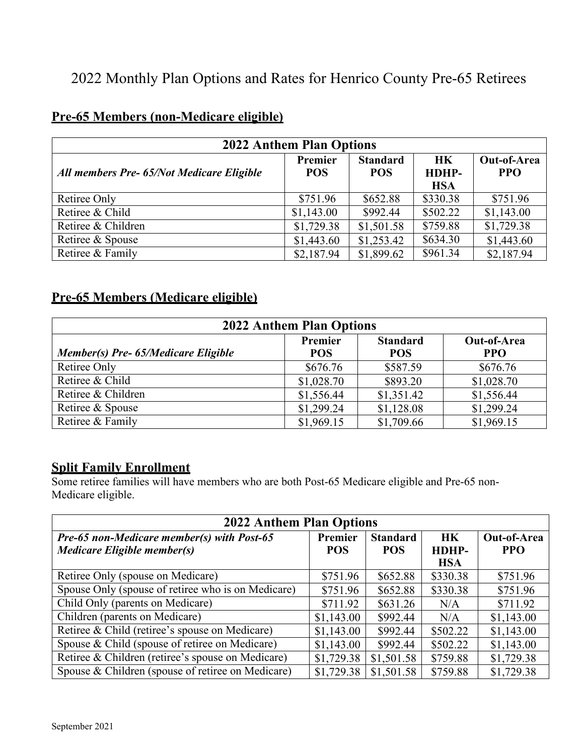# 2022 Monthly Plan Options and Rates for Henrico County Pre-65 Retirees

## **Pre-65 Members (non-Medicare eligible)**

|                                           | <b>2022 Anthem Plan Options</b> |                               |                                  |                                  |
|-------------------------------------------|---------------------------------|-------------------------------|----------------------------------|----------------------------------|
| All members Pre- 65/Not Medicare Eligible | Premier<br><b>POS</b>           | <b>Standard</b><br><b>POS</b> | <b>HK</b><br>HDHP-<br><b>HSA</b> | <b>Out-of-Area</b><br><b>PPO</b> |
| Retiree Only                              | \$751.96                        | \$652.88                      | \$330.38                         | \$751.96                         |
| Retiree & Child                           | \$1,143.00                      | \$992.44                      | \$502.22                         | \$1,143.00                       |
| Retiree & Children                        | \$1,729.38                      | \$1,501.58                    | \$759.88                         | \$1,729.38                       |
| Retiree & Spouse                          | \$1,443.60                      | \$1,253.42                    | \$634.30                         | \$1,443.60                       |
| Retiree & Family                          | \$2,187.94                      | \$1,899.62                    | \$961.34                         | \$2,187.94                       |

#### **Pre-65 Members (Medicare eligible)**

|                                     | <b>2022 Anthem Plan Options</b> |                               |                           |
|-------------------------------------|---------------------------------|-------------------------------|---------------------------|
| Member(s) Pre- 65/Medicare Eligible | Premier<br><b>POS</b>           | <b>Standard</b><br><b>POS</b> | Out-of-Area<br><b>PPO</b> |
| Retiree Only                        | \$676.76                        | \$587.59                      | \$676.76                  |
| Retiree & Child                     | \$1,028.70                      | \$893.20                      | \$1,028.70                |
| Retiree & Children                  | \$1,556.44                      | \$1,351.42                    | \$1,556.44                |
| Retiree & Spouse                    | \$1,299.24                      | \$1,128.08                    | \$1,299.24                |
| Retiree & Family                    | \$1,969.15                      | \$1,709.66                    | \$1,969.15                |

### **Split Family Enrollment**

Some retiree families will have members who are both Post-65 Medicare eligible and Pre-65 non-Medicare eligible.

| <b>2022 Anthem Plan Options</b>                                                  |                       |                               |                                  |                           |
|----------------------------------------------------------------------------------|-----------------------|-------------------------------|----------------------------------|---------------------------|
| <b>Pre-65 non-Medicare member(s) with Post-65</b><br>Medicare Eligible member(s) | Premier<br><b>POS</b> | <b>Standard</b><br><b>POS</b> | <b>HK</b><br>HDHP-<br><b>HSA</b> | Out-of-Area<br><b>PPO</b> |
| Retiree Only (spouse on Medicare)                                                | \$751.96              | \$652.88                      | \$330.38                         | \$751.96                  |
| Spouse Only (spouse of retiree who is on Medicare)                               | \$751.96              | \$652.88                      | \$330.38                         | \$751.96                  |
| Child Only (parents on Medicare)                                                 | \$711.92              | \$631.26                      | N/A                              | \$711.92                  |
| Children (parents on Medicare)                                                   | \$1,143.00            | \$992.44                      | N/A                              | \$1,143.00                |
| Retiree & Child (retiree's spouse on Medicare)                                   | \$1,143.00            | \$992.44                      | \$502.22                         | \$1,143.00                |
| Spouse & Child (spouse of retiree on Medicare)                                   | \$1,143.00            | \$992.44                      | \$502.22                         | \$1,143.00                |
| Retiree & Children (retiree's spouse on Medicare)                                | \$1,729.38            | \$1,501.58                    | \$759.88                         | \$1,729.38                |
| Spouse & Children (spouse of retiree on Medicare)                                | \$1,729.38            | \$1,501.58                    | \$759.88                         | \$1,729.38                |